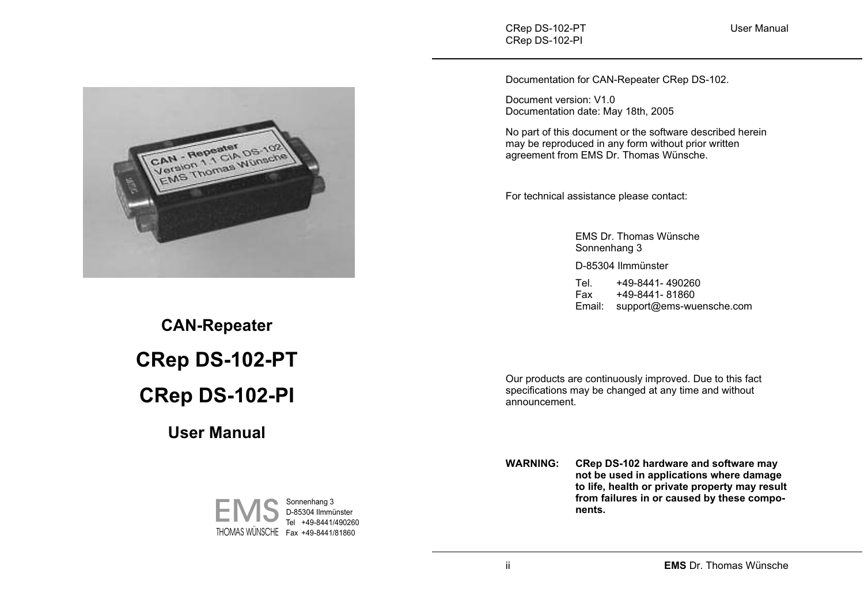CRep DS-102-PTCRep DS-102-PI

Documentation for CAN-Repeater CRep DS-102.

Document version: V1.0Documentation date: May 18th, <sup>2005</sup>

No part of this document or the software described herein may be reproduced in any form without prior written<br>agreement from EMS Dr. Thomas Wünsche agreement from EMS Dr. Thomas Wünsche.

For technical assistance please contact:

EMS Dr. Thomas Wünsche Sonnenhang <sup>3</sup>

D-85304 Ilmmünster

Tel. +49-8441- <sup>490260</sup> +49-8441- <sup>81860</sup>FaxEmail: support@ems-wuensche.com

Our products are continuously improved. Due to this fact specifications may be changed at any time and without announcement.

**WARNING: CRep DS-102 hardware and software may not be used in applications where damage to life, health or private property may result from failures in or caused by these components.**



**CAN-RepeaterCRep DS-102-PT**

**CRep DS-102-PI**

**User Manual**

EMSTHOMAS WÜNSCHE Fax +49-8441/81860Sonnenhang 3 D-85304 Ilmmünster Tel +49-8441/490260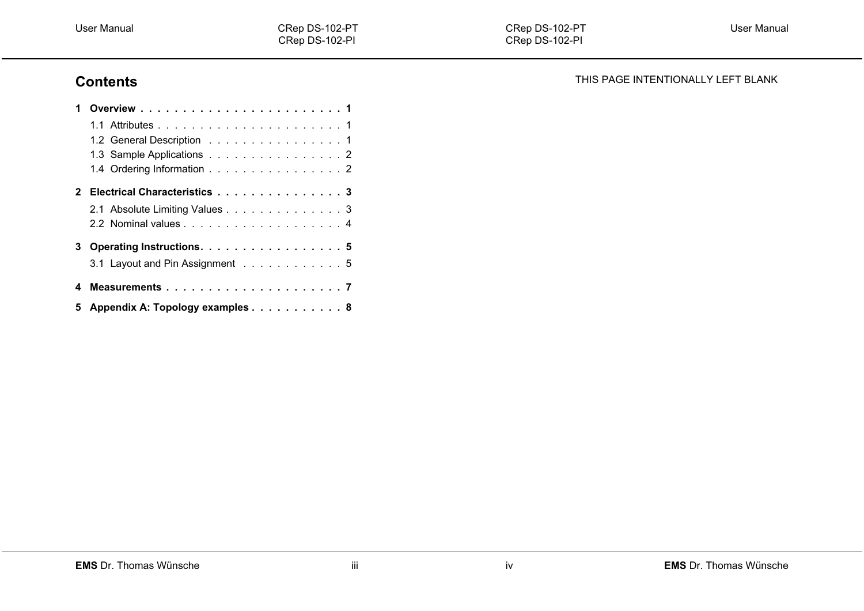## **Contents**

|   | 1.2 General Description 1       |
|---|---------------------------------|
|   | 1.3 Sample Applications 2       |
|   | 1.4 Ordering Information 2      |
|   | 2 Electrical Characteristics 3  |
|   | 2.1 Absolute Limiting Values 3  |
|   |                                 |
| 3 | Operating Instructions. 5       |
|   | 3.1 Layout and Pin Assignment 5 |
| 4 |                                 |
| 5 | Appendix A: Topology examples 8 |

## THIS PAGE INTENTIONALLY LEFT BLANK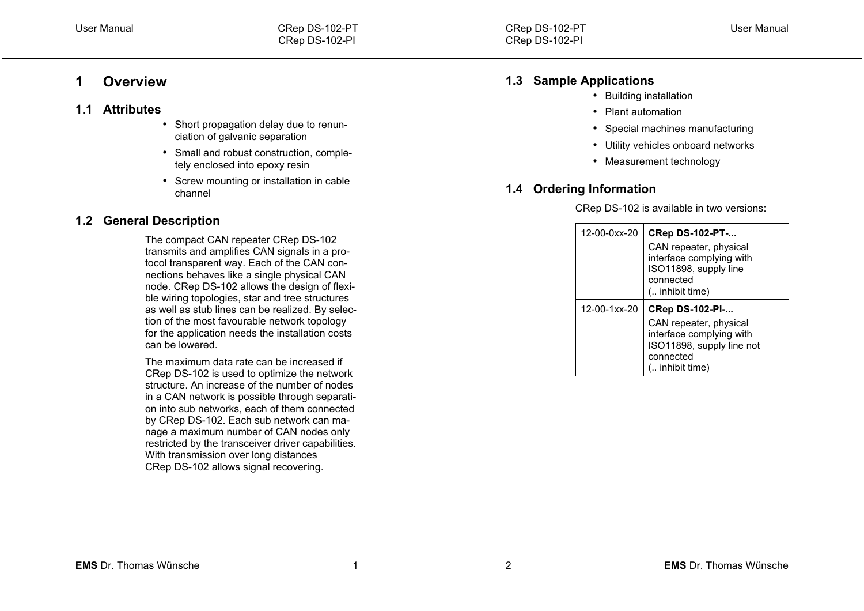### **1Overview**

## **1.1 Attributes**

- Short propagation delay due to renunciation of galvanic separation
- Small and robust construction, completely enclosed into epoxy resin
- Screw mounting or installation in cable channel

# **1.2 General Description**

The compact CAN repeater CRep DS-102 transmits and amplifies CAN signals in <sup>a</sup> protocol transparent way. Each of the CAN connections behaves like <sup>a</sup> single physical CAN node. CRep DS-102 allows the design of flexible wiring topologies, star and tree structures as well as stub lines can be realized. By selection of the most favourable network topology for the application needs the installation costs can be lowered.

The maximum data rate can be increased if<br>CRep DS-102 is used to optimize the netwo CRep DS-102 is used to optimize the network structure. An increase of the number of nodes in <sup>a</sup> CAN network is possible through separation into sub networks, each of them connected<br>by CRop DS 102, Each sub notwork can ma by CRep DS-102. Each sub network can manage a maximum number of CAN nodes only<br>restricted by the transceiver driver canabilities restricted by the transceiver driver capabilities. With transmission over long distances CRep DS-102 allows signal recovering.

## **1.3 Sample Applications**

- Building installation
- •Plant automation
- •Special machines manufacturing
- Utility vehicles onboard networks
- Measurement technology

# **1.4 Ordering Information**

CRep DS-102 is available in two versions:

| 12-00-0xx-20 | <b>CRep DS-102-PT-</b><br>CAN repeater, physical<br>interface complying with<br>ISO11898, supply line<br>connected<br>( inhibit time)     |
|--------------|-------------------------------------------------------------------------------------------------------------------------------------------|
| 12-00-1xx-20 | <b>CRep DS-102-PI-</b><br>CAN repeater, physical<br>interface complying with<br>ISO11898, supply line not<br>connected<br>( inhibit time) |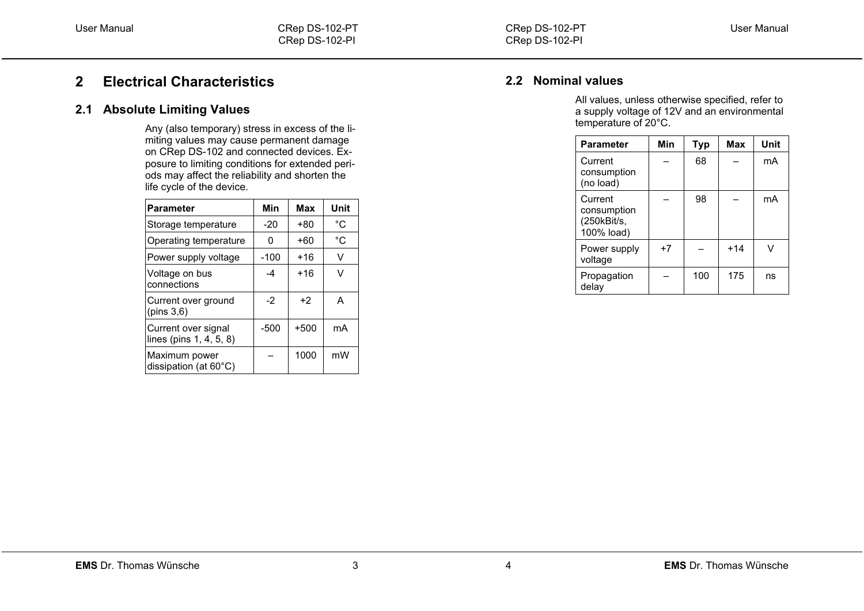### **2Electrical Characteristics**

# **2.1 Absolute Limiting Values**

Any (also temporary) stress in excess of the limiting values may cause permanent damage on CRep DS-102 and connected devices. Exposure to limiting conditions for extended periods may affect the reliability and shorten the life cycle of the device.

| <b>Parameter</b>                               | Min    | Max    | Unit |
|------------------------------------------------|--------|--------|------|
| Storage temperature                            | $-20$  | $+80$  | °C   |
| Operating temperature                          | 0      | $+60$  | °C   |
| Power supply voltage                           | $-100$ | +16    | v    |
| Voltage on bus<br>connections                  | -4     | +16    |      |
| Current over ground<br>(pins 3,6)              | $-2$   | $+2$   | А    |
| Current over signal<br>lines (pins 1, 4, 5, 8) | -500   | $+500$ | mA   |
| Maximum power<br>dissipation (at 60°C)         |        | 1000   | mW   |

# **2.2 Nominal values**

All values, unless otherwise specified, refer to a supply voltage of 12V and an environmental<br>tance article of 20% temperature of 20°C.

| <b>Parameter</b>                                    | Min  | <b>Typ</b> | Max   | Unit |
|-----------------------------------------------------|------|------------|-------|------|
| Current<br>consumption<br>(no load)                 |      | 68         |       | mA   |
| Current<br>consumption<br>(250kBit/s,<br>100% load) |      | 98         |       | mA   |
| Power supply<br>voltage                             | $+7$ |            | $+14$ | v    |
| Propagation<br>delay                                |      | 100        | 175   | ns   |

### **EMS** Dr. Thomas Wünsche 3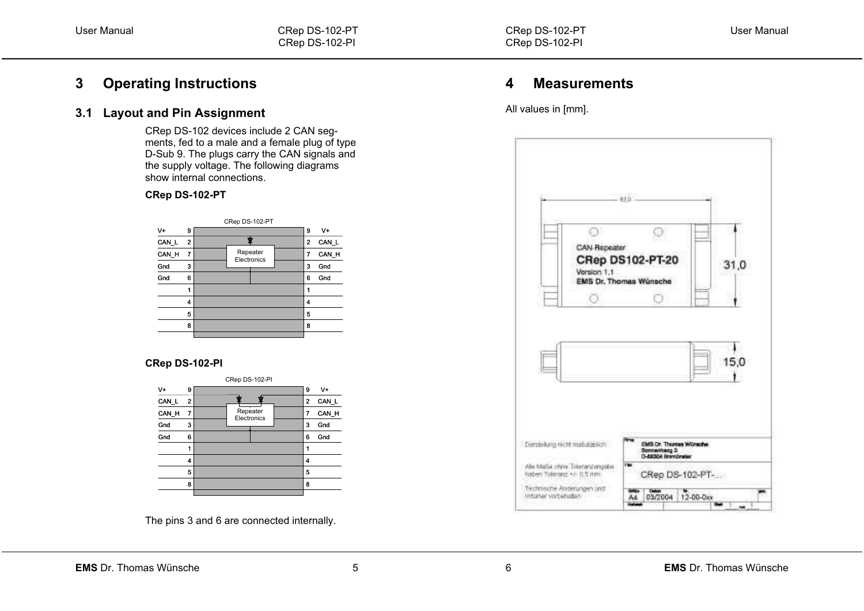### **3Operating Instructions**

# **3.1 Layout and Pin Assignment**

CRep DS-102 devices include <sup>2</sup> CAN segments, fed to a male and a female plug of type D-Sub 9. The plugs carry the CAN signals and the supply voltage. The following diagrams show internal connections.

## **CRep DS-102-PT**

| CRep DS-102-PT |                |  |                         |  |  |                |       |
|----------------|----------------|--|-------------------------|--|--|----------------|-------|
| V+             | 9              |  |                         |  |  | 9              | V+    |
| CAN L          | $\overline{2}$ |  |                         |  |  | $\overline{2}$ | CAN L |
| CAN H          | 7              |  | Repeater<br>Electronics |  |  | 7              | CAN_H |
| Gnd            | 3              |  |                         |  |  | 3              | Gnd   |
| Gnd            | 6              |  |                         |  |  | 6              | Gnd   |
|                |                |  |                         |  |  |                |       |
|                | 4              |  |                         |  |  | 4              |       |
|                | 5              |  |                         |  |  | 5              |       |
|                | 8              |  |                         |  |  | 8              |       |
|                |                |  |                         |  |  |                |       |

## **CRep DS-102-PI**

| CRep DS-102-PI |                |  |                         |  |                |       |
|----------------|----------------|--|-------------------------|--|----------------|-------|
| V+             | 9              |  |                         |  | 9              | V+    |
| CAN_L          | $\overline{2}$ |  |                         |  | $\overline{2}$ | CAN L |
| CAN H          | 7              |  | Repeater<br>Electronics |  | 7              | CAN H |
| Gnd            | 3              |  |                         |  | 3              | Gnd   |
| Gnd            | 6              |  |                         |  | 6              | Gnd   |
|                | 1              |  |                         |  | 1              |       |
|                | 4              |  |                         |  | 4              |       |
|                | 5              |  |                         |  | 5              |       |
|                | 8              |  |                         |  | 8              |       |
|                |                |  |                         |  |                |       |

The pins <sup>3</sup> and <sup>6</sup> are connected internally.

### **4Measurements**

### All values in [mm].



6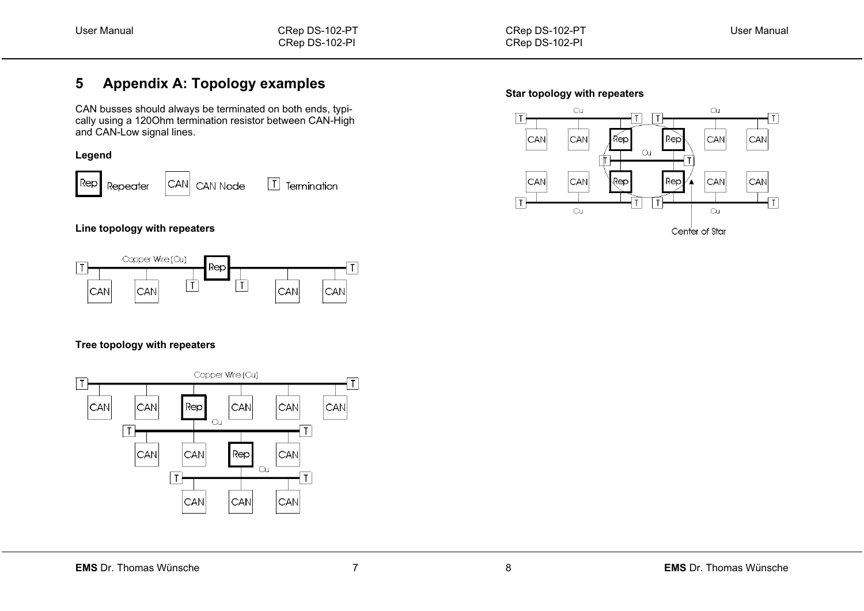### **5Appendix A: Topology examples**

CAN busses should always be terminated on both ends, typically using a 120Ohm termination resistor between CAN-High<br>and CAN Law signal lines and CAN-Low signal lines.

**Legend**



### **Line topology with repeaters**



## **Tree topology with repeaters**



### **Star topology with repeaters**



8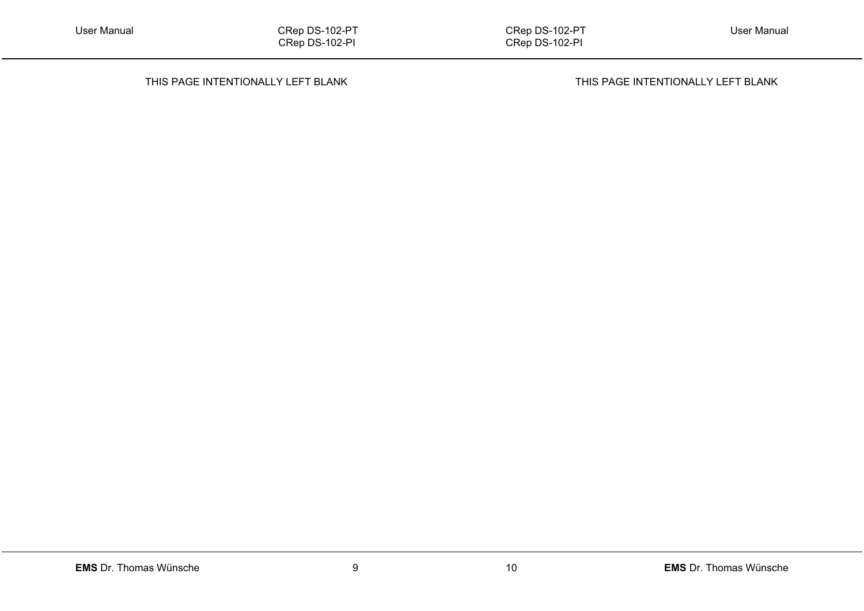THIS PAGE INTENTIONALLY LEFT BLANK

THIS PAGE INTENTIONALLY LEFT BLANK